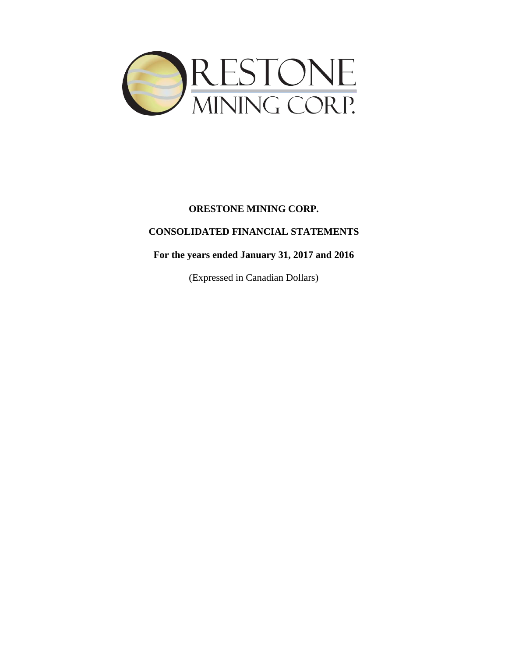

# **CONSOLIDATED FINANCIAL STATEMENTS**

# **For the years ended January 31, 2017 and 2016**

(Expressed in Canadian Dollars)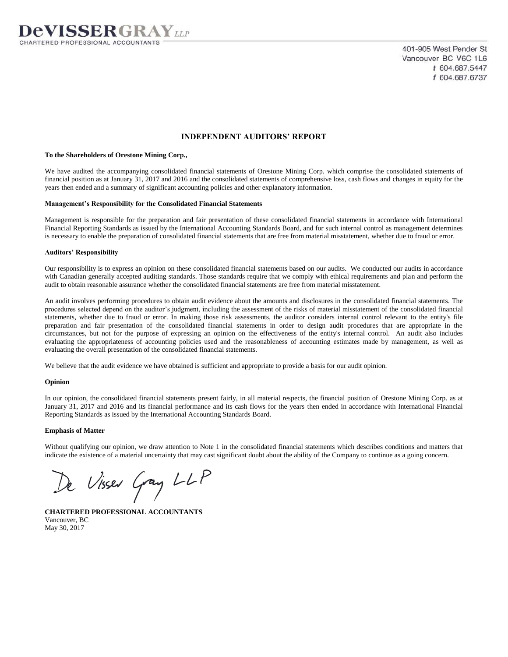

401-905 West Pender St Vancouver BC V6C 1L6 t 604.687.5447 f 604.687.6737

### **INDEPENDENT AUDITORS' REPORT**

#### **To the Shareholders of Orestone Mining Corp.,**

We have audited the accompanying consolidated financial statements of Orestone Mining Corp. which comprise the consolidated statements of financial position as at January 31, 2017 and 2016 and the consolidated statements of comprehensive loss, cash flows and changes in equity for the years then ended and a summary of significant accounting policies and other explanatory information.

#### **Management's Responsibility for the Consolidated Financial Statements**

Management is responsible for the preparation and fair presentation of these consolidated financial statements in accordance with International Financial Reporting Standards as issued by the International Accounting Standards Board, and for such internal control as management determines is necessary to enable the preparation of consolidated financial statements that are free from material misstatement, whether due to fraud or error.

#### **Auditors' Responsibility**

Our responsibility is to express an opinion on these consolidated financial statements based on our audits. We conducted our audits in accordance with Canadian generally accepted auditing standards. Those standards require that we comply with ethical requirements and plan and perform the audit to obtain reasonable assurance whether the consolidated financial statements are free from material misstatement.

An audit involves performing procedures to obtain audit evidence about the amounts and disclosures in the consolidated financial statements. The procedures selected depend on the auditor's judgment, including the assessment of the risks of material misstatement of the consolidated financial statements, whether due to fraud or error. In making those risk assessments, the auditor considers internal control relevant to the entity's file preparation and fair presentation of the consolidated financial statements in order to design audit procedures that are appropriate in the circumstances, but not for the purpose of expressing an opinion on the effectiveness of the entity's internal control. An audit also includes evaluating the appropriateness of accounting policies used and the reasonableness of accounting estimates made by management, as well as evaluating the overall presentation of the consolidated financial statements.

We believe that the audit evidence we have obtained is sufficient and appropriate to provide a basis for our audit opinion.

#### **Opinion**

In our opinion, the consolidated financial statements present fairly, in all material respects, the financial position of Orestone Mining Corp. as at January 31, 2017 and 2016 and its financial performance and its cash flows for the years then ended in accordance with International Financial Reporting Standards as issued by the International Accounting Standards Board.

#### **Emphasis of Matter**

Without qualifying our opinion, we draw attention to Note 1 in the consolidated financial statements which describes conditions and matters that indicate the existence of a material uncertainty that may cast significant doubt about the ability of the Company to continue as a going concern.

De Visser Gray LLP

**CHARTERED PROFESSIONAL ACCOUNTANTS** Vancouver, BC May 30, 2017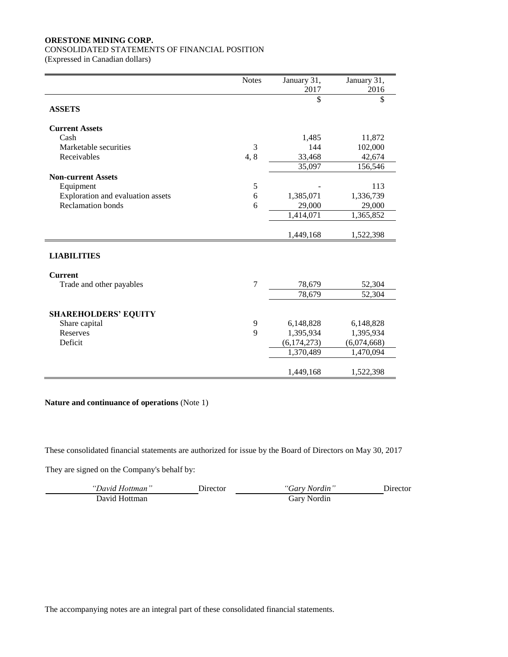### CONSOLIDATED STATEMENTS OF FINANCIAL POSITION

(Expressed in Canadian dollars)

|                                   | <b>Notes</b>   | January 31,   | January 31, |
|-----------------------------------|----------------|---------------|-------------|
|                                   |                | 2017          | 2016        |
|                                   |                | \$            | \$          |
| <b>ASSETS</b>                     |                |               |             |
| <b>Current Assets</b>             |                |               |             |
|                                   |                |               |             |
| Cash                              |                | 1,485         | 11,872      |
| Marketable securities             | 3              | 144           | 102,000     |
| Receivables                       | 4,8            | 33,468        | 42,674      |
|                                   |                | 35,097        | 156,546     |
| <b>Non-current Assets</b>         |                |               |             |
| Equipment                         | 5              |               | 113         |
| Exploration and evaluation assets | 6              | 1,385,071     | 1,336,739   |
| <b>Reclamation</b> bonds          | 6              | 29,000        | 29,000      |
|                                   |                | 1,414,071     | 1,365,852   |
|                                   |                |               |             |
|                                   |                | 1,449,168     | 1,522,398   |
|                                   |                |               |             |
| <b>LIABILITIES</b>                |                |               |             |
| <b>Current</b>                    |                |               |             |
| Trade and other payables          | $\overline{7}$ | 78,679        | 52,304      |
|                                   |                | 78,679        | 52,304      |
|                                   |                |               |             |
| <b>SHAREHOLDERS' EQUITY</b>       |                |               |             |
| Share capital                     | 9              | 6,148,828     | 6,148,828   |
| Reserves                          | 9              | 1,395,934     | 1,395,934   |
| Deficit                           |                | (6, 174, 273) | (6,074,668) |
|                                   |                | 1,370,489     | 1,470,094   |
|                                   |                |               |             |
|                                   |                | 1,449,168     | 1,522,398   |

**Nature and continuance of operations** (Note 1)

These consolidated financial statements are authorized for issue by the Board of Directors on May 30, 2017

They are signed on the Company's behalf by:

| "David Hottman" | Jirector | "Gary Nordin" | <b>Jirector</b> |
|-----------------|----------|---------------|-----------------|
| David Hottman   |          | Gary Nordin   |                 |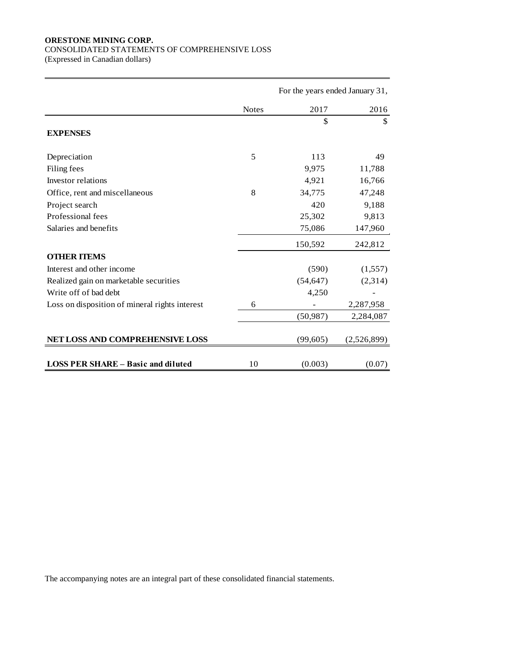## CONSOLIDATED STATEMENTS OF COMPREHENSIVE LOSS

(Expressed in Canadian dollars)

|                                                | For the years ended January 31, |           |             |  |
|------------------------------------------------|---------------------------------|-----------|-------------|--|
|                                                | <b>Notes</b>                    | 2017      | 2016        |  |
|                                                |                                 | \$        | \$          |  |
| <b>EXPENSES</b>                                |                                 |           |             |  |
| Depreciation                                   | 5                               | 113       | 49          |  |
| Filing fees                                    |                                 | 9,975     | 11,788      |  |
| Investor relations                             |                                 | 4,921     | 16,766      |  |
| Office, rent and miscellaneous                 | 8                               | 34,775    | 47,248      |  |
| Project search                                 |                                 | 420       | 9,188       |  |
| Professional fees                              |                                 | 25,302    | 9,813       |  |
| Salaries and benefits                          |                                 | 75,086    | 147,960     |  |
|                                                |                                 | 150,592   | 242,812     |  |
| <b>OTHER ITEMS</b>                             |                                 |           |             |  |
| Interest and other income                      |                                 | (590)     | (1,557)     |  |
| Realized gain on marketable securities         |                                 | (54, 647) | (2,314)     |  |
| Write off of bad debt                          |                                 | 4,250     |             |  |
| Loss on disposition of mineral rights interest | 6                               |           | 2,287,958   |  |
|                                                |                                 | (50, 987) | 2,284,087   |  |
| NET LOSS AND COMPREHENSIVE LOSS                |                                 | (99, 605) | (2,526,899) |  |
| <b>LOSS PER SHARE – Basic and diluted</b>      | 10                              | (0.003)   | (0.07)      |  |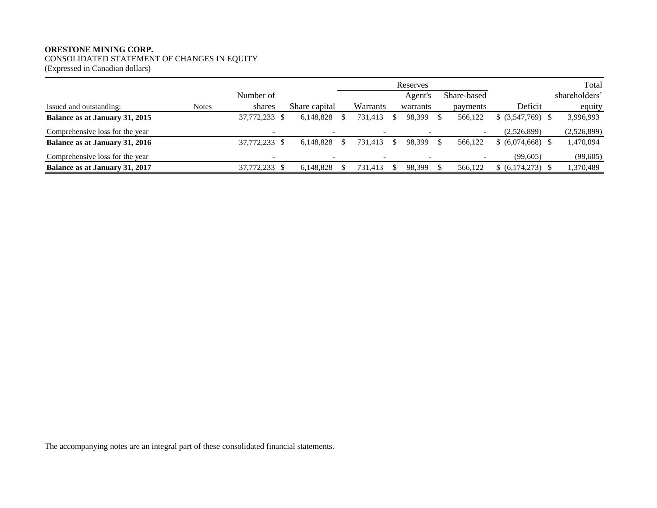CONSOLIDATED STATEMENT OF CHANGES IN EQUITY

(Expressed in Canadian dollars)

|                                       |              |                          |               |                | Reserves |             |                       | Total         |
|---------------------------------------|--------------|--------------------------|---------------|----------------|----------|-------------|-----------------------|---------------|
|                                       |              | Number of                |               |                | Agent's  | Share-based |                       | shareholders' |
| Issued and outstanding:               | <b>Notes</b> | shares                   | Share capital | Warrants       | warrants | payments    | Deficit               | equity        |
| Balance as at January 31, 2015        |              | 37,772,233               | 6,148,828     | 731,413        | 98,399   | 566.122     | $$$ (3,547,769) \, \, | 3,996,993     |
| Comprehensive loss for the year       |              |                          |               | $\blacksquare$ |          |             | (2.526.899)           | (2,526,899)   |
| Balance as at January 31, 2016        |              | 37,772,233 \$            | 6.148.828     | 731.413        | 98.399   | 566,122     | $$ (6,074,668)$ \;    | ,470,094      |
| Comprehensive loss for the year       |              | $\overline{\phantom{a}}$ |               | $\sim$         |          |             | (99,605)              | (99, 605)     |
| <b>Balance as at January 31, 2017</b> |              | 37,772,233 \$            | 6.148.828     | 731,413        | 98,399   | 566,122     | $(6,174,273)$ \$      | 1,370,489     |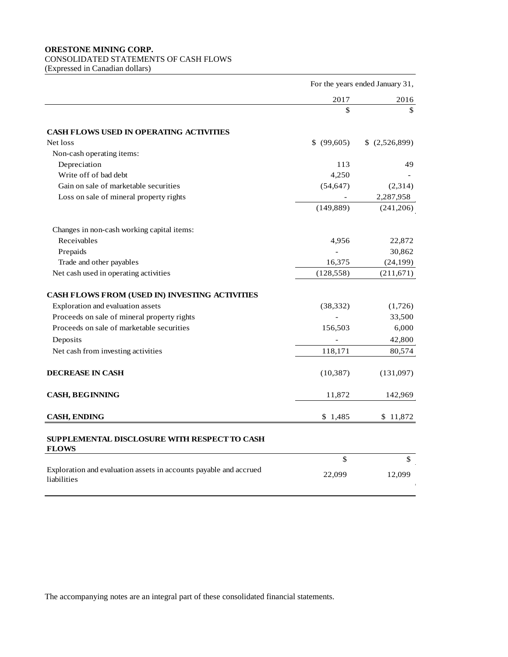# CONSOLIDATED STATEMENTS OF CASH FLOWS

(Expressed in Canadian dollars)

|                                                                                  | For the years ended January 31, |               |  |
|----------------------------------------------------------------------------------|---------------------------------|---------------|--|
|                                                                                  | 2017                            | 2016          |  |
|                                                                                  | \$                              | \$            |  |
| <b>CASH FLOWS USED IN OPERATING ACTIVITIES</b>                                   |                                 |               |  |
| Net loss                                                                         | \$ (99,605)                     | \$(2,526,899) |  |
| Non-cash operating items:                                                        |                                 |               |  |
| Depreciation                                                                     | 113                             | 49            |  |
| Write off of bad debt                                                            | 4,250                           |               |  |
| Gain on sale of marketable securities                                            | (54, 647)                       | (2,314)       |  |
| Loss on sale of mineral property rights                                          |                                 | 2,287,958     |  |
|                                                                                  | (149, 889)                      | (241,206)     |  |
| Changes in non-cash working capital items:                                       |                                 |               |  |
| Receivables                                                                      | 4,956                           | 22,872        |  |
| Prepaids                                                                         |                                 | 30,862        |  |
| Trade and other payables                                                         | 16,375                          | (24, 199)     |  |
| Net cash used in operating activities                                            | (128, 558)                      | (211, 671)    |  |
| CASH FLOWS FROM (USED IN) INVESTING ACTIVITIES                                   |                                 |               |  |
| Exploration and evaluation assets                                                | (38, 332)                       | (1,726)       |  |
| Proceeds on sale of mineral property rights                                      |                                 | 33,500        |  |
| Proceeds on sale of marketable securities                                        | 156,503                         | 6,000         |  |
| Deposits                                                                         |                                 | 42,800        |  |
| Net cash from investing activities                                               | 118,171                         | 80,574        |  |
| <b>DECREASE IN CASH</b>                                                          | (10, 387)                       | (131,097)     |  |
| <b>CASH, BEGINNING</b>                                                           | 11,872                          | 142,969       |  |
| <b>CASH, ENDING</b>                                                              | \$1,485                         | \$11,872      |  |
| SUPPLEMENTAL DISCLOSURE WITH RESPECT TO CASH<br><b>FLOWS</b>                     |                                 |               |  |
|                                                                                  | \$                              | \$            |  |
| Exploration and evaluation assets in accounts payable and accrued<br>liabilities | 22,099                          | 12,099        |  |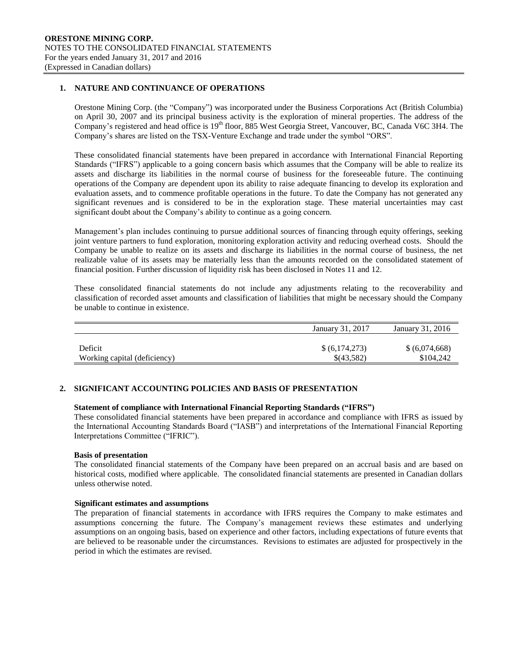### **1. NATURE AND CONTINUANCE OF OPERATIONS**

Orestone Mining Corp. (the "Company") was incorporated under the Business Corporations Act (British Columbia) on April 30, 2007 and its principal business activity is the exploration of mineral properties. The address of the Company's registered and head office is 19<sup>th</sup> floor, 885 West Georgia Street, Vancouver, BC, Canada V6C 3H4. The Company's shares are listed on the TSX-Venture Exchange and trade under the symbol "ORS".

These consolidated financial statements have been prepared in accordance with International Financial Reporting Standards ("IFRS") applicable to a going concern basis which assumes that the Company will be able to realize its assets and discharge its liabilities in the normal course of business for the foreseeable future. The continuing operations of the Company are dependent upon its ability to raise adequate financing to develop its exploration and evaluation assets, and to commence profitable operations in the future. To date the Company has not generated any significant revenues and is considered to be in the exploration stage. These material uncertainties may cast significant doubt about the Company's ability to continue as a going concern.

Management's plan includes continuing to pursue additional sources of financing through equity offerings, seeking joint venture partners to fund exploration, monitoring exploration activity and reducing overhead costs. Should the Company be unable to realize on its assets and discharge its liabilities in the normal course of business, the net realizable value of its assets may be materially less than the amounts recorded on the consolidated statement of financial position. Further discussion of liquidity risk has been disclosed in Notes 11 and 12.

These consolidated financial statements do not include any adjustments relating to the recoverability and classification of recorded asset amounts and classification of liabilities that might be necessary should the Company be unable to continue in existence.

|                              | January 31, 2017 | January 31, 2016 |
|------------------------------|------------------|------------------|
|                              |                  |                  |
| Deficit                      | \$ (6,174,273)   | \$(6,074,668)    |
| Working capital (deficiency) | \$(43,582)       | \$104,242        |

### **2. SIGNIFICANT ACCOUNTING POLICIES AND BASIS OF PRESENTATION**

#### **Statement of compliance with International Financial Reporting Standards ("IFRS")**

These consolidated financial statements have been prepared in accordance and compliance with IFRS as issued by the International Accounting Standards Board ("IASB") and interpretations of the International Financial Reporting Interpretations Committee ("IFRIC").

#### **Basis of presentation**

The consolidated financial statements of the Company have been prepared on an accrual basis and are based on historical costs, modified where applicable. The consolidated financial statements are presented in Canadian dollars unless otherwise noted.

#### **Significant estimates and assumptions**

The preparation of financial statements in accordance with IFRS requires the Company to make estimates and assumptions concerning the future. The Company's management reviews these estimates and underlying assumptions on an ongoing basis, based on experience and other factors, including expectations of future events that are believed to be reasonable under the circumstances. Revisions to estimates are adjusted for prospectively in the period in which the estimates are revised.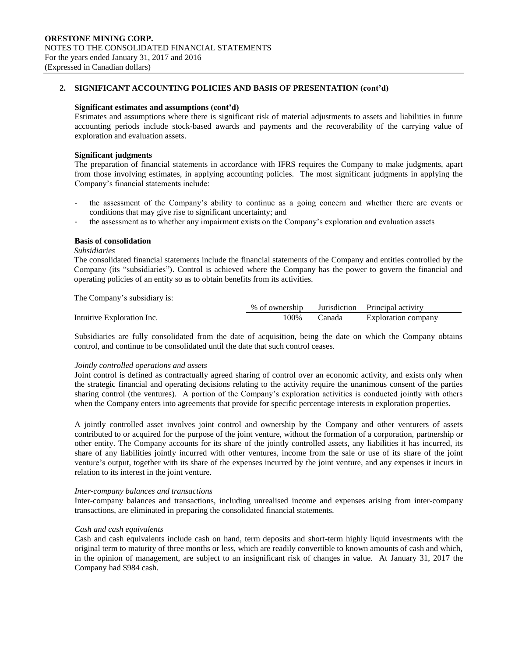#### **Significant estimates and assumptions (cont'd)**

Estimates and assumptions where there is significant risk of material adjustments to assets and liabilities in future accounting periods include stock-based awards and payments and the recoverability of the carrying value of exploration and evaluation assets.

#### **Significant judgments**

The preparation of financial statements in accordance with IFRS requires the Company to make judgments, apart from those involving estimates, in applying accounting policies. The most significant judgments in applying the Company's financial statements include:

- the assessment of the Company's ability to continue as a going concern and whether there are events or conditions that may give rise to significant uncertainty; and
- the assessment as to whether any impairment exists on the Company's exploration and evaluation assets

### **Basis of consolidation**

#### *Subsidiaries*

The consolidated financial statements include the financial statements of the Company and entities controlled by the Company (its "subsidiaries"). Control is achieved where the Company has the power to govern the financial and operating policies of an entity so as to obtain benefits from its activities.

The Company's subsidiary is:

|                            | % of ownership |        | Jurisdiction Principal activity |
|----------------------------|----------------|--------|---------------------------------|
| Intuitive Exploration Inc. | 00%            | `anada | <b>Exploration company</b>      |

Subsidiaries are fully consolidated from the date of acquisition, being the date on which the Company obtains control, and continue to be consolidated until the date that such control ceases.

### *Jointly controlled operations and assets*

Joint control is defined as contractually agreed sharing of control over an economic activity, and exists only when the strategic financial and operating decisions relating to the activity require the unanimous consent of the parties sharing control (the ventures). A portion of the Company's exploration activities is conducted jointly with others when the Company enters into agreements that provide for specific percentage interests in exploration properties.

A jointly controlled asset involves joint control and ownership by the Company and other venturers of assets contributed to or acquired for the purpose of the joint venture, without the formation of a corporation, partnership or other entity. The Company accounts for its share of the jointly controlled assets, any liabilities it has incurred, its share of any liabilities jointly incurred with other ventures, income from the sale or use of its share of the joint venture's output, together with its share of the expenses incurred by the joint venture, and any expenses it incurs in relation to its interest in the joint venture.

### *Inter-company balances and transactions*

Inter-company balances and transactions, including unrealised income and expenses arising from inter-company transactions, are eliminated in preparing the consolidated financial statements.

### *Cash and cash equivalents*

Cash and cash equivalents include cash on hand, term deposits and short-term highly liquid investments with the original term to maturity of three months or less, which are readily convertible to known amounts of cash and which, in the opinion of management, are subject to an insignificant risk of changes in value. At January 31, 2017 the Company had \$984 cash.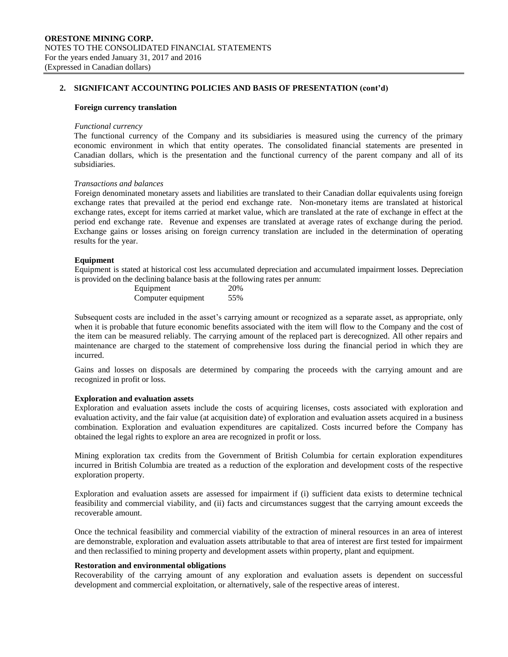#### **Foreign currency translation**

#### *Functional currency*

The functional currency of the Company and its subsidiaries is measured using the currency of the primary economic environment in which that entity operates. The consolidated financial statements are presented in Canadian dollars, which is the presentation and the functional currency of the parent company and all of its subsidiaries.

### *Transactions and balances*

Foreign denominated monetary assets and liabilities are translated to their Canadian dollar equivalents using foreign exchange rates that prevailed at the period end exchange rate. Non-monetary items are translated at historical exchange rates, except for items carried at market value, which are translated at the rate of exchange in effect at the period end exchange rate. Revenue and expenses are translated at average rates of exchange during the period. Exchange gains or losses arising on foreign currency translation are included in the determination of operating results for the year.

#### **Equipment**

Equipment is stated at historical cost less accumulated depreciation and accumulated impairment losses. Depreciation is provided on the declining balance basis at the following rates per annum:

| Equipment          | 20% |
|--------------------|-----|
| Computer equipment | 55% |

Subsequent costs are included in the asset's carrying amount or recognized as a separate asset, as appropriate, only when it is probable that future economic benefits associated with the item will flow to the Company and the cost of the item can be measured reliably. The carrying amount of the replaced part is derecognized. All other repairs and maintenance are charged to the statement of comprehensive loss during the financial period in which they are incurred.

Gains and losses on disposals are determined by comparing the proceeds with the carrying amount and are recognized in profit or loss.

#### **Exploration and evaluation assets**

Exploration and evaluation assets include the costs of acquiring licenses, costs associated with exploration and evaluation activity, and the fair value (at acquisition date) of exploration and evaluation assets acquired in a business combination. Exploration and evaluation expenditures are capitalized. Costs incurred before the Company has obtained the legal rights to explore an area are recognized in profit or loss.

Mining exploration tax credits from the Government of British Columbia for certain exploration expenditures incurred in British Columbia are treated as a reduction of the exploration and development costs of the respective exploration property.

Exploration and evaluation assets are assessed for impairment if (i) sufficient data exists to determine technical feasibility and commercial viability, and (ii) facts and circumstances suggest that the carrying amount exceeds the recoverable amount.

Once the technical feasibility and commercial viability of the extraction of mineral resources in an area of interest are demonstrable, exploration and evaluation assets attributable to that area of interest are first tested for impairment and then reclassified to mining property and development assets within property, plant and equipment.

### **Restoration and environmental obligations**

Recoverability of the carrying amount of any exploration and evaluation assets is dependent on successful development and commercial exploitation, or alternatively, sale of the respective areas of interest.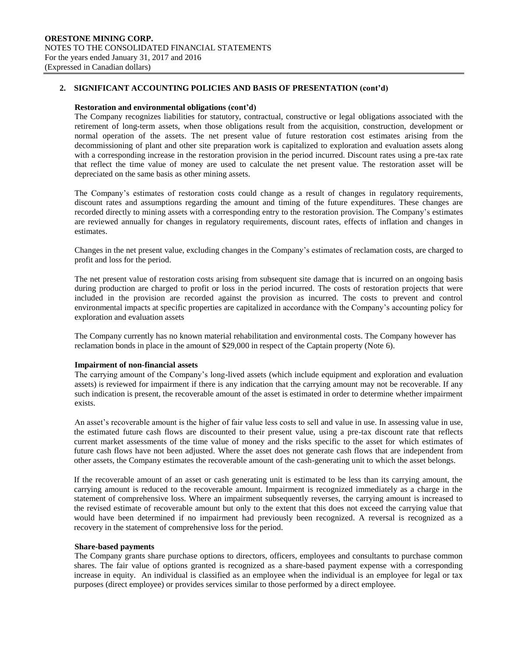#### **Restoration and environmental obligations (cont'd)**

The Company recognizes liabilities for statutory, contractual, constructive or legal obligations associated with the retirement of long-term assets, when those obligations result from the acquisition, construction, development or normal operation of the assets. The net present value of future restoration cost estimates arising from the decommissioning of plant and other site preparation work is capitalized to exploration and evaluation assets along with a corresponding increase in the restoration provision in the period incurred. Discount rates using a pre-tax rate that reflect the time value of money are used to calculate the net present value. The restoration asset will be depreciated on the same basis as other mining assets.

The Company's estimates of restoration costs could change as a result of changes in regulatory requirements, discount rates and assumptions regarding the amount and timing of the future expenditures. These changes are recorded directly to mining assets with a corresponding entry to the restoration provision. The Company's estimates are reviewed annually for changes in regulatory requirements, discount rates, effects of inflation and changes in estimates.

Changes in the net present value, excluding changes in the Company's estimates of reclamation costs, are charged to profit and loss for the period.

The net present value of restoration costs arising from subsequent site damage that is incurred on an ongoing basis during production are charged to profit or loss in the period incurred. The costs of restoration projects that were included in the provision are recorded against the provision as incurred. The costs to prevent and control environmental impacts at specific properties are capitalized in accordance with the Company's accounting policy for exploration and evaluation assets

The Company currently has no known material rehabilitation and environmental costs. The Company however has reclamation bonds in place in the amount of \$29,000 in respect of the Captain property (Note 6).

### **Impairment of non-financial assets**

The carrying amount of the Company's long-lived assets (which include equipment and exploration and evaluation assets) is reviewed for impairment if there is any indication that the carrying amount may not be recoverable. If any such indication is present, the recoverable amount of the asset is estimated in order to determine whether impairment exists.

An asset's recoverable amount is the higher of fair value less costs to sell and value in use. In assessing value in use, the estimated future cash flows are discounted to their present value, using a pre-tax discount rate that reflects current market assessments of the time value of money and the risks specific to the asset for which estimates of future cash flows have not been adjusted. Where the asset does not generate cash flows that are independent from other assets, the Company estimates the recoverable amount of the cash-generating unit to which the asset belongs.

If the recoverable amount of an asset or cash generating unit is estimated to be less than its carrying amount, the carrying amount is reduced to the recoverable amount. Impairment is recognized immediately as a charge in the statement of comprehensive loss. Where an impairment subsequently reverses, the carrying amount is increased to the revised estimate of recoverable amount but only to the extent that this does not exceed the carrying value that would have been determined if no impairment had previously been recognized. A reversal is recognized as a recovery in the statement of comprehensive loss for the period.

### **Share-based payments**

The Company grants share purchase options to directors, officers, employees and consultants to purchase common shares. The fair value of options granted is recognized as a share-based payment expense with a corresponding increase in equity. An individual is classified as an employee when the individual is an employee for legal or tax purposes (direct employee) or provides services similar to those performed by a direct employee.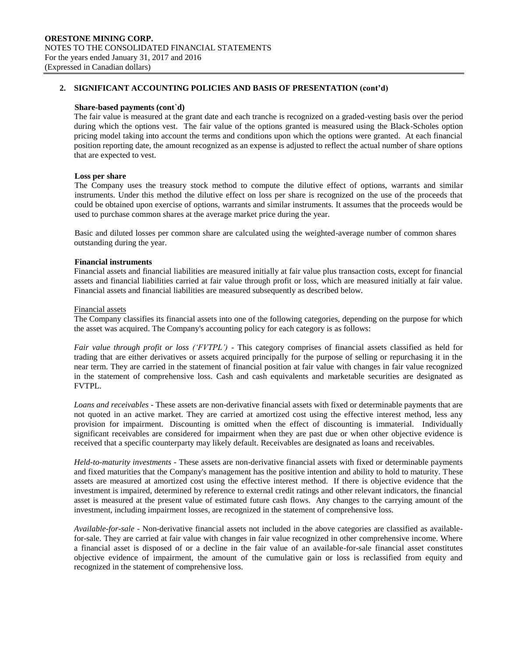#### **Share-based payments (cont`d)**

The fair value is measured at the grant date and each tranche is recognized on a graded-vesting basis over the period during which the options vest. The fair value of the options granted is measured using the Black-Scholes option pricing model taking into account the terms and conditions upon which the options were granted. At each financial position reporting date, the amount recognized as an expense is adjusted to reflect the actual number of share options that are expected to vest.

### **Loss per share**

The Company uses the treasury stock method to compute the dilutive effect of options, warrants and similar instruments. Under this method the dilutive effect on loss per share is recognized on the use of the proceeds that could be obtained upon exercise of options, warrants and similar instruments. It assumes that the proceeds would be used to purchase common shares at the average market price during the year.

Basic and diluted losses per common share are calculated using the weighted-average number of common shares outstanding during the year.

### **Financial instruments**

Financial assets and financial liabilities are measured initially at fair value plus transaction costs, except for financial assets and financial liabilities carried at fair value through profit or loss, which are measured initially at fair value. Financial assets and financial liabilities are measured subsequently as described below.

#### Financial assets

The Company classifies its financial assets into one of the following categories, depending on the purpose for which the asset was acquired. The Company's accounting policy for each category is as follows:

*Fair value through profit or loss ('FVTPL')* - This category comprises of financial assets classified as held for trading that are either derivatives or assets acquired principally for the purpose of selling or repurchasing it in the near term. They are carried in the statement of financial position at fair value with changes in fair value recognized in the statement of comprehensive loss. Cash and cash equivalents and marketable securities are designated as FVTPL.

*Loans and receivables* - These assets are non-derivative financial assets with fixed or determinable payments that are not quoted in an active market. They are carried at amortized cost using the effective interest method, less any provision for impairment. Discounting is omitted when the effect of discounting is immaterial. Individually significant receivables are considered for impairment when they are past due or when other objective evidence is received that a specific counterparty may likely default. Receivables are designated as loans and receivables.

*Held-to-maturity investments* - These assets are non-derivative financial assets with fixed or determinable payments and fixed maturities that the Company's management has the positive intention and ability to hold to maturity. These assets are measured at amortized cost using the effective interest method. If there is objective evidence that the investment is impaired, determined by reference to external credit ratings and other relevant indicators, the financial asset is measured at the present value of estimated future cash flows. Any changes to the carrying amount of the investment, including impairment losses, are recognized in the statement of comprehensive loss.

*Available-for-sale* - Non-derivative financial assets not included in the above categories are classified as availablefor-sale. They are carried at fair value with changes in fair value recognized in other comprehensive income. Where a financial asset is disposed of or a decline in the fair value of an available-for-sale financial asset constitutes objective evidence of impairment, the amount of the cumulative gain or loss is reclassified from equity and recognized in the statement of comprehensive loss.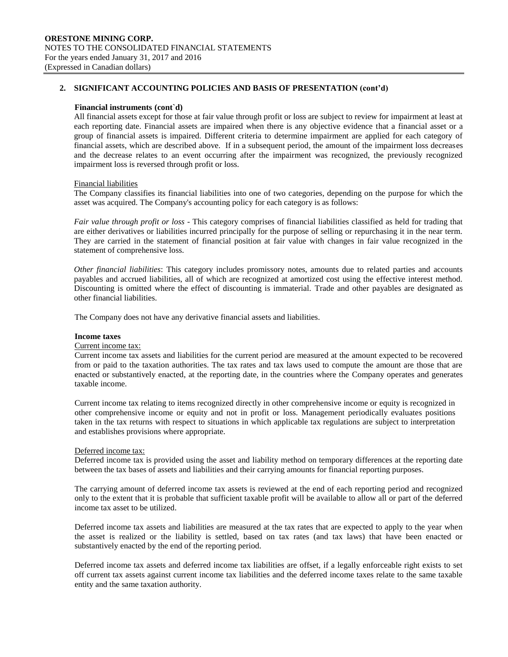#### **Financial instruments (cont`d)**

All financial assets except for those at fair value through profit or loss are subject to review for impairment at least at each reporting date. Financial assets are impaired when there is any objective evidence that a financial asset or a group of financial assets is impaired. Different criteria to determine impairment are applied for each category of financial assets, which are described above. If in a subsequent period, the amount of the impairment loss decreases and the decrease relates to an event occurring after the impairment was recognized, the previously recognized impairment loss is reversed through profit or loss.

#### Financial liabilities

The Company classifies its financial liabilities into one of two categories, depending on the purpose for which the asset was acquired. The Company's accounting policy for each category is as follows:

*Fair value through profit or loss* - This category comprises of financial liabilities classified as held for trading that are either derivatives or liabilities incurred principally for the purpose of selling or repurchasing it in the near term. They are carried in the statement of financial position at fair value with changes in fair value recognized in the statement of comprehensive loss.

*Other financial liabilities*: This category includes promissory notes, amounts due to related parties and accounts payables and accrued liabilities, all of which are recognized at amortized cost using the effective interest method. Discounting is omitted where the effect of discounting is immaterial. Trade and other payables are designated as other financial liabilities.

The Company does not have any derivative financial assets and liabilities.

#### **Income taxes**

### Current income tax:

Current income tax assets and liabilities for the current period are measured at the amount expected to be recovered from or paid to the taxation authorities. The tax rates and tax laws used to compute the amount are those that are enacted or substantively enacted, at the reporting date, in the countries where the Company operates and generates taxable income.

Current income tax relating to items recognized directly in other comprehensive income or equity is recognized in other comprehensive income or equity and not in profit or loss. Management periodically evaluates positions taken in the tax returns with respect to situations in which applicable tax regulations are subject to interpretation and establishes provisions where appropriate.

#### Deferred income tax:

Deferred income tax is provided using the asset and liability method on temporary differences at the reporting date between the tax bases of assets and liabilities and their carrying amounts for financial reporting purposes.

The carrying amount of deferred income tax assets is reviewed at the end of each reporting period and recognized only to the extent that it is probable that sufficient taxable profit will be available to allow all or part of the deferred income tax asset to be utilized.

Deferred income tax assets and liabilities are measured at the tax rates that are expected to apply to the year when the asset is realized or the liability is settled, based on tax rates (and tax laws) that have been enacted or substantively enacted by the end of the reporting period.

Deferred income tax assets and deferred income tax liabilities are offset, if a legally enforceable right exists to set off current tax assets against current income tax liabilities and the deferred income taxes relate to the same taxable entity and the same taxation authority.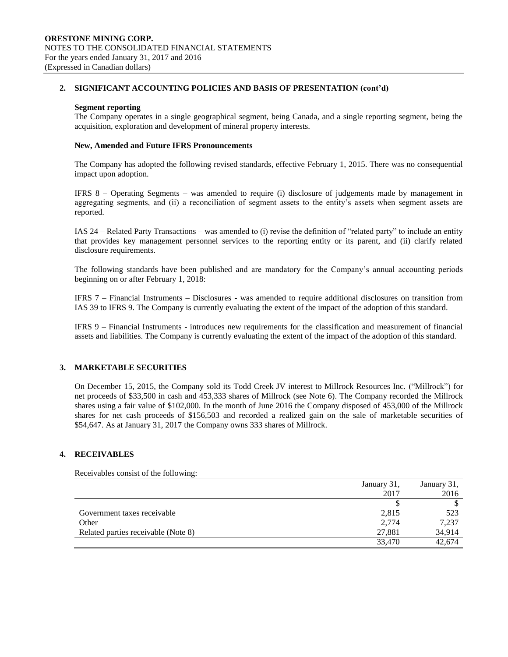#### **Segment reporting**

The Company operates in a single geographical segment, being Canada, and a single reporting segment, being the acquisition, exploration and development of mineral property interests.

### **New, Amended and Future IFRS Pronouncements**

The Company has adopted the following revised standards, effective February 1, 2015. There was no consequential impact upon adoption.

IFRS 8 – Operating Segments – was amended to require (i) disclosure of judgements made by management in aggregating segments, and (ii) a reconciliation of segment assets to the entity's assets when segment assets are reported.

IAS 24 – Related Party Transactions – was amended to (i) revise the definition of "related party" to include an entity that provides key management personnel services to the reporting entity or its parent, and (ii) clarify related disclosure requirements.

The following standards have been published and are mandatory for the Company's annual accounting periods beginning on or after February 1, 2018:

IFRS 7 – Financial Instruments – Disclosures - was amended to require additional disclosures on transition from IAS 39 to IFRS 9. The Company is currently evaluating the extent of the impact of the adoption of this standard.

IFRS 9 – Financial Instruments - introduces new requirements for the classification and measurement of financial assets and liabilities. The Company is currently evaluating the extent of the impact of the adoption of this standard.

### **3. MARKETABLE SECURITIES**

On December 15, 2015, the Company sold its Todd Creek JV interest to Millrock Resources Inc. ("Millrock") for net proceeds of \$33,500 in cash and 453,333 shares of Millrock (see Note 6). The Company recorded the Millrock shares using a fair value of \$102,000. In the month of June 2016 the Company disposed of 453,000 of the Millrock shares for net cash proceeds of \$156,503 and recorded a realized gain on the sale of marketable securities of \$54,647. As at January 31, 2017 the Company owns 333 shares of Millrock.

### **4. RECEIVABLES**

Receivables consist of the following:

|                                     | January 31, | January 31, |
|-------------------------------------|-------------|-------------|
|                                     | 2017        | 2016        |
|                                     |             |             |
| Government taxes receivable         | 2,815       | 523         |
| Other                               | 2,774       | 7,237       |
| Related parties receivable (Note 8) | 27,881      | 34,914      |
|                                     | 33,470      | 42.674      |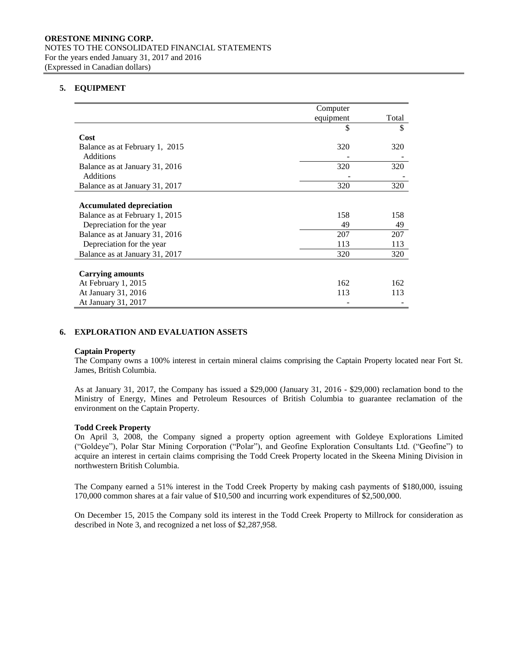## **5. EQUIPMENT**

|                                 | Computer  |       |
|---------------------------------|-----------|-------|
|                                 | equipment | Total |
|                                 | \$        | \$    |
| Cost                            |           |       |
| Balance as at February 1, 2015  | 320       | 320   |
| Additions                       |           |       |
| Balance as at January 31, 2016  | 320       | 320   |
| Additions                       |           |       |
| Balance as at January 31, 2017  | 320       | 320   |
|                                 |           |       |
| <b>Accumulated depreciation</b> |           |       |
| Balance as at February 1, 2015  | 158       | 158   |
| Depreciation for the year       | 49        | 49    |
| Balance as at January 31, 2016  | 207       | 207   |
| Depreciation for the year       | 113       | 113   |
| Balance as at January 31, 2017  | 320       | 320   |
|                                 |           |       |
| <b>Carrying amounts</b>         |           |       |
| At February 1, 2015             | 162       | 162   |
| At January 31, 2016             | 113       | 113   |
| At January 31, 2017             |           |       |

### **6. EXPLORATION AND EVALUATION ASSETS**

### **Captain Property**

The Company owns a 100% interest in certain mineral claims comprising the Captain Property located near Fort St. James, British Columbia.

As at January 31, 2017, the Company has issued a \$29,000 (January 31, 2016 - \$29,000) reclamation bond to the Ministry of Energy, Mines and Petroleum Resources of British Columbia to guarantee reclamation of the environment on the Captain Property.

### **Todd Creek Property**

On April 3, 2008, the Company signed a property option agreement with Goldeye Explorations Limited ("Goldeye"), Polar Star Mining Corporation ("Polar"), and Geofine Exploration Consultants Ltd. ("Geofine") to acquire an interest in certain claims comprising the Todd Creek Property located in the Skeena Mining Division in northwestern British Columbia.

The Company earned a 51% interest in the Todd Creek Property by making cash payments of \$180,000, issuing 170,000 common shares at a fair value of \$10,500 and incurring work expenditures of \$2,500,000.

On December 15, 2015 the Company sold its interest in the Todd Creek Property to Millrock for consideration as described in Note 3, and recognized a net loss of \$2,287,958.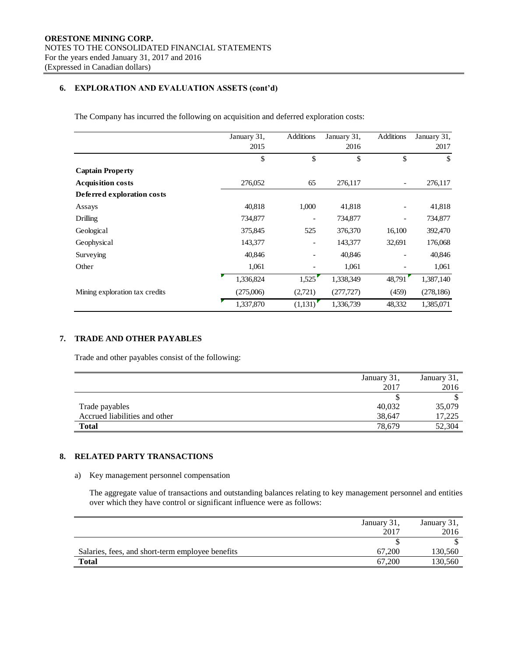## **6. EXPLORATION AND EVALUATION ASSETS (cont'd)**

The Company has incurred the following on acquisition and deferred exploration costs:

|                                | January 31, | <b>Additions</b>         | January 31, | <b>Additions</b>         | January 31,   |
|--------------------------------|-------------|--------------------------|-------------|--------------------------|---------------|
|                                | 2015        |                          | 2016        |                          | 2017          |
|                                | \$          | \$                       | \$          | \$                       | $\mathbf{\$}$ |
| <b>Captain Property</b>        |             |                          |             |                          |               |
| <b>Acquisition costs</b>       | 276,052     | 65                       | 276,117     | $\overline{\phantom{a}}$ | 276,117       |
| Deferred exploration costs     |             |                          |             |                          |               |
| Assays                         | 40,818      | 1,000                    | 41,818      |                          | 41,818        |
| Drilling                       | 734,877     |                          | 734,877     |                          | 734,877       |
| Geological                     | 375,845     | 525                      | 376,370     | 16,100                   | 392,470       |
| Geophysical                    | 143,377     | $\overline{\phantom{0}}$ | 143,377     | 32,691                   | 176,068       |
| Surveying                      | 40,846      |                          | 40,846      |                          | 40,846        |
| Other                          | 1,061       |                          | 1,061       |                          | 1,061         |
|                                | 1,336,824   | 1,525                    | 1,338,349   | 48,791                   | 1,387,140     |
| Mining exploration tax credits | (275,006)   | (2,721)                  | (277, 727)  | (459)                    | (278, 186)    |
|                                | 1,337,870   | (1,131)                  | 1,336,739   | 48,332                   | 1,385,071     |

## **7. TRADE AND OTHER PAYABLES**

Trade and other payables consist of the following:

|                               | January 31, | January 31, |
|-------------------------------|-------------|-------------|
|                               | 2017        | 2016        |
|                               |             |             |
| Trade payables                | 40,032      | 35,079      |
| Accrued liabilities and other | 38.647      | 17,225      |
| <b>Total</b>                  | 78.679      | 52,304      |

# **8. RELATED PARTY TRANSACTIONS**

### a) Key management personnel compensation

The aggregate value of transactions and outstanding balances relating to key management personnel and entities over which they have control or significant influence were as follows:

|                                                  | January 31, | January 31, |
|--------------------------------------------------|-------------|-------------|
|                                                  | 2017        | 2016        |
|                                                  |             |             |
| Salaries, fees, and short-term employee benefits | 67,200      | 130,560     |
| <b>Total</b>                                     | 67,200      | 130,560     |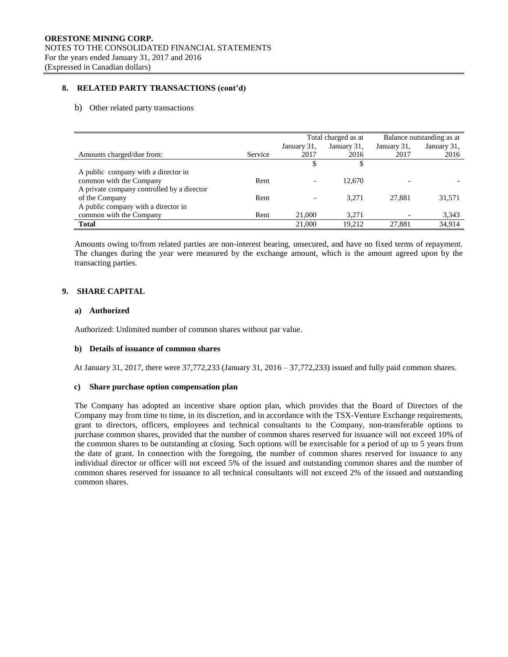### **8. RELATED PARTY TRANSACTIONS (cont'd)**

#### b) Other related party transactions

|                                            |                | Total charged as at      |             | Balance outstanding as at |             |
|--------------------------------------------|----------------|--------------------------|-------------|---------------------------|-------------|
|                                            |                | January 31,              | January 31, | January 31,               | January 31, |
| Amounts charged/due from:                  | <b>Service</b> | 2017                     | 2016        | 2017                      | 2016        |
|                                            |                |                          |             |                           |             |
| A public company with a director in        |                |                          |             |                           |             |
| common with the Company                    | Rent           | $\overline{\phantom{0}}$ | 12.670      |                           |             |
| A private company controlled by a director |                |                          |             |                           |             |
| of the Company                             | Rent           |                          | 3.271       | 27.881                    | 31,571      |
| A public company with a director in        |                |                          |             |                           |             |
| common with the Company                    | Rent           | 21,000                   | 3.271       |                           | 3,343       |
| <b>Total</b>                               |                | 21,000                   | 19.212      | 27.881                    | 34,914      |

Amounts owing to/from related parties are non-interest bearing, unsecured, and have no fixed terms of repayment. The changes during the year were measured by the exchange amount, which is the amount agreed upon by the transacting parties.

### **9. SHARE CAPITAL**

### **a) Authorized**

Authorized: Unlimited number of common shares without par value.

### **b) Details of issuance of common shares**

At January 31, 2017, there were 37,772,233 (January 31, 2016 – 37,772,233) issued and fully paid common shares.

### **c) Share purchase option compensation plan**

The Company has adopted an incentive share option plan, which provides that the Board of Directors of the Company may from time to time, in its discretion, and in accordance with the TSX-Venture Exchange requirements, grant to directors, officers, employees and technical consultants to the Company, non-transferable options to purchase common shares, provided that the number of common shares reserved for issuance will not exceed 10% of the common shares to be outstanding at closing. Such options will be exercisable for a period of up to 5 years from the date of grant. In connection with the foregoing, the number of common shares reserved for issuance to any individual director or officer will not exceed 5% of the issued and outstanding common shares and the number of common shares reserved for issuance to all technical consultants will not exceed 2% of the issued and outstanding common shares.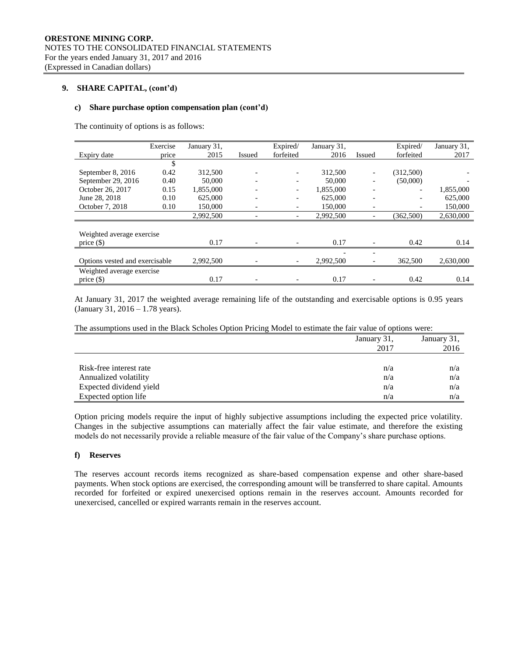### **9. SHARE CAPITAL, (cont'd)**

#### **c) Share purchase option compensation plan (cont'd)**

The continuity of options is as follows:

|                                | Exercise | January 31, |        | Expired/  | January 31, |                          | Expired/                 | January 31, |
|--------------------------------|----------|-------------|--------|-----------|-------------|--------------------------|--------------------------|-------------|
| Expiry date                    | price    | 2015        | Issued | forfeited | 2016        | Issued                   | forfeited                | 2017        |
|                                | \$       |             |        |           |             |                          |                          |             |
| September 8, 2016              | 0.42     | 312,500     |        |           | 312,500     | $\overline{\phantom{a}}$ | (312,500)                |             |
| September 29, 2016             | 0.40     | 50,000      |        |           | 50,000      |                          | (50,000)                 |             |
| October 26, 2017               | 0.15     | 1,855,000   |        | -         | 1,855,000   | -                        | $\overline{\phantom{a}}$ | 1,855,000   |
| June 28, 2018                  | 0.10     | 625,000     |        |           | 625,000     | $\overline{\phantom{0}}$ |                          | 625,000     |
| October 7, 2018                | 0.10     | 150,000     |        |           | 150,000     | $\overline{\phantom{0}}$ |                          | 150,000     |
|                                |          | 2,992,500   |        |           | 2,992,500   |                          | (362,500)                | 2,630,000   |
|                                |          |             |        |           |             |                          |                          |             |
| Weighted average exercise      |          |             |        |           |             |                          |                          |             |
| price $(\$)$                   |          | 0.17        |        |           | 0.17        |                          | 0.42                     | 0.14        |
|                                |          |             |        |           |             |                          |                          |             |
| Options vested and exercisable |          | 2,992,500   |        |           | 2,992,500   |                          | 362,500                  | 2,630,000   |
| Weighted average exercise      |          |             |        |           |             |                          |                          |             |
| price $(\$)$                   |          | 0.17        |        |           | 0.17        |                          | 0.42                     | 0.14        |

At January 31, 2017 the weighted average remaining life of the outstanding and exercisable options is 0.95 years (January 31, 2016 – 1.78 years).

The assumptions used in the Black Scholes Option Pricing Model to estimate the fair value of options were:

|                         | January 31, | January 31, |
|-------------------------|-------------|-------------|
|                         | 2017        | 2016        |
|                         |             |             |
| Risk-free interest rate | n/a         | n/a         |
| Annualized volatility   | n/a         | n/a         |
| Expected dividend yield | n/a         | n/a         |
| Expected option life    | n/a         | n/a         |

Option pricing models require the input of highly subjective assumptions including the expected price volatility. Changes in the subjective assumptions can materially affect the fair value estimate, and therefore the existing models do not necessarily provide a reliable measure of the fair value of the Company's share purchase options.

### **f) Reserves**

The reserves account records items recognized as share-based compensation expense and other share-based payments. When stock options are exercised, the corresponding amount will be transferred to share capital. Amounts recorded for forfeited or expired unexercised options remain in the reserves account. Amounts recorded for unexercised, cancelled or expired warrants remain in the reserves account.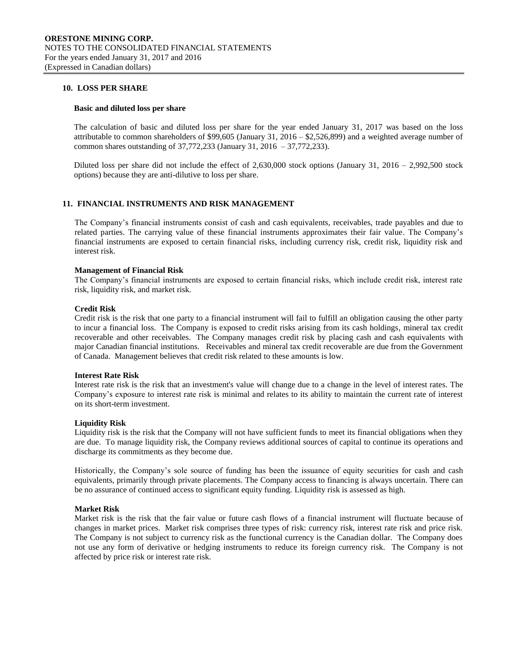### **10. LOSS PER SHARE**

#### **Basic and diluted loss per share**

The calculation of basic and diluted loss per share for the year ended January 31, 2017 was based on the loss attributable to common shareholders of \$99,605 (January 31, 2016 – \$2,526,899) and a weighted average number of common shares outstanding of 37,772,233 (January 31, 2016 – 37,772,233).

Diluted loss per share did not include the effect of 2,630,000 stock options (January 31, 2016 – 2,992,500 stock options) because they are anti-dilutive to loss per share.

### **11. FINANCIAL INSTRUMENTS AND RISK MANAGEMENT**

The Company's financial instruments consist of cash and cash equivalents, receivables, trade payables and due to related parties. The carrying value of these financial instruments approximates their fair value. The Company's financial instruments are exposed to certain financial risks, including currency risk, credit risk, liquidity risk and interest risk.

#### **Management of Financial Risk**

The Company's financial instruments are exposed to certain financial risks, which include credit risk, interest rate risk, liquidity risk, and market risk.

#### **Credit Risk**

Credit risk is the risk that one party to a financial instrument will fail to fulfill an obligation causing the other party to incur a financial loss. The Company is exposed to credit risks arising from its cash holdings, mineral tax credit recoverable and other receivables. The Company manages credit risk by placing cash and cash equivalents with major Canadian financial institutions. Receivables and mineral tax credit recoverable are due from the Government of Canada. Management believes that credit risk related to these amounts is low.

#### **Interest Rate Risk**

Interest rate risk is the risk that an investment's value will change due to a change in the level of interest rates. The Company's exposure to interest rate risk is minimal and relates to its ability to maintain the current rate of interest on its short-term investment.

#### **Liquidity Risk**

Liquidity risk is the risk that the Company will not have sufficient funds to meet its financial obligations when they are due. To manage liquidity risk, the Company reviews additional sources of capital to continue its operations and discharge its commitments as they become due.

Historically, the Company's sole source of funding has been the issuance of equity securities for cash and cash equivalents, primarily through private placements. The Company access to financing is always uncertain. There can be no assurance of continued access to significant equity funding. Liquidity risk is assessed as high.

#### **Market Risk**

Market risk is the risk that the fair value or future cash flows of a financial instrument will fluctuate because of changes in market prices. Market risk comprises three types of risk: currency risk, interest rate risk and price risk. The Company is not subject to currency risk as the functional currency is the Canadian dollar. The Company does not use any form of derivative or hedging instruments to reduce its foreign currency risk. The Company is not affected by price risk or interest rate risk.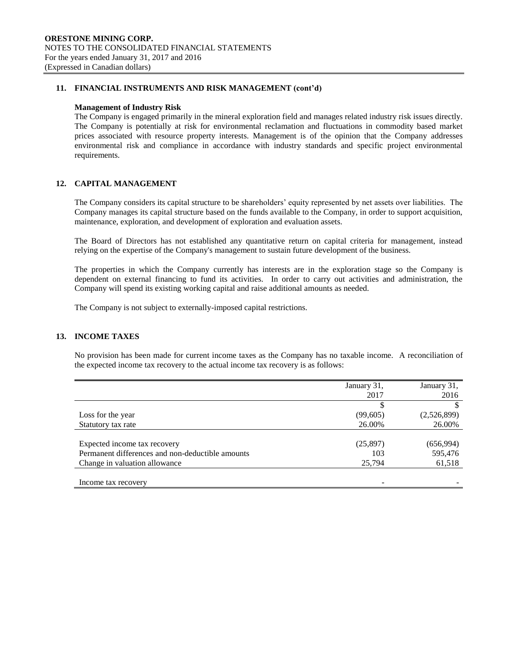### **11. FINANCIAL INSTRUMENTS AND RISK MANAGEMENT (cont'd)**

#### **Management of Industry Risk**

The Company is engaged primarily in the mineral exploration field and manages related industry risk issues directly. The Company is potentially at risk for environmental reclamation and fluctuations in commodity based market prices associated with resource property interests. Management is of the opinion that the Company addresses environmental risk and compliance in accordance with industry standards and specific project environmental requirements.

### **12. CAPITAL MANAGEMENT**

The Company considers its capital structure to be shareholders' equity represented by net assets over liabilities. The Company manages its capital structure based on the funds available to the Company, in order to support acquisition, maintenance, exploration, and development of exploration and evaluation assets.

The Board of Directors has not established any quantitative return on capital criteria for management, instead relying on the expertise of the Company's management to sustain future development of the business.

The properties in which the Company currently has interests are in the exploration stage so the Company is dependent on external financing to fund its activities. In order to carry out activities and administration, the Company will spend its existing working capital and raise additional amounts as needed.

The Company is not subject to externally-imposed capital restrictions.

### **13. INCOME TAXES**

No provision has been made for current income taxes as the Company has no taxable income. A reconciliation of the expected income tax recovery to the actual income tax recovery is as follows:

|                                                  | January 31, | January 31, |
|--------------------------------------------------|-------------|-------------|
|                                                  | 2017        | 2016        |
|                                                  |             |             |
| Loss for the year                                | (99,605)    | (2,526,899) |
| Statutory tax rate                               | 26.00%      | 26.00%      |
|                                                  |             |             |
| Expected income tax recovery                     | (25,897)    | (656,994)   |
| Permanent differences and non-deductible amounts | 103         | 595,476     |
| Change in valuation allowance                    | 25,794      | 61,518      |
|                                                  |             |             |
| Income tax recovery                              |             |             |